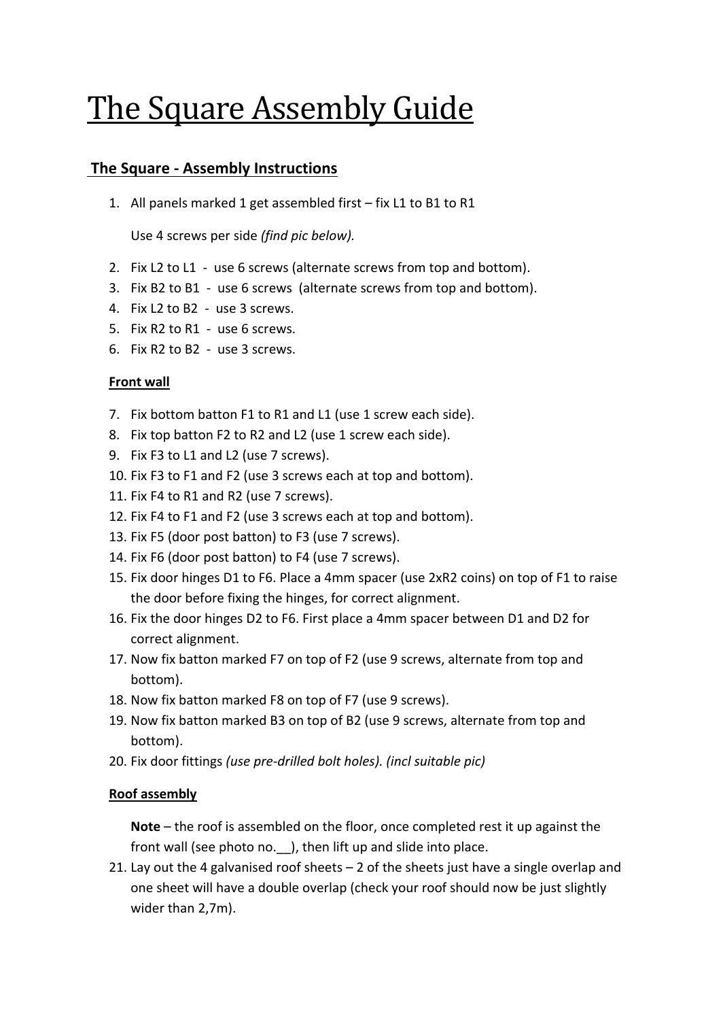# The Square Assembly Guide

### **The Square - Assembly Instructions**

1. All panels marked 1 get assembled first – fix L1 to B1 to R1

Use 4 screws per side *(find pic below).*

- 2. Fix L2 to L1 use 6 screws (alternate screws from top and bottom).
- 3. Fix B2 to B1 use 6 screws (alternate screws from top and bottom).
- 4. Fix L2 to B2 use 3 screws.
- 5. Fix R2 to R1 use 6 screws.
- 6. Fix R2 to B2 use 3 screws.

#### **Front wall**

- 7. Fix bottom batton F1 to R1 and L1 (use 1 screw each side).
- 8. Fix top batton F2 to R2 and L2 (use 1 screw each side).
- 9. Fix F3 to L1 and L2 (use 7 screws).
- 10. Fix F3 to F1 and F2 (use 3 screws each at top and bottom).
- 11. Fix F4 to R1 and R2 (use 7 screws).
- 12. Fix F4 to F1 and F2 (use 3 screws each at top and bottom).
- 13. Fix F5 (door post batton) to F3 (use 7 screws).
- 14. Fix F6 (door post batton) to F4 (use 7 screws).
- 15. Fix door hinges D1 to F6. Place a 4mm spacer (use 2xR2 coins) on top of F1 to raise the door before fixing the hinges, for correct alignment.
- 16. Fix the door hinges D2 to F6. First place a 4mm spacer between D1 and D2 for correct alignment.
- 17. Now fix batton marked F7 on top of F2 (use 9 screws, alternate from top and bottom).
- 18. Now fix batton marked F8 on top of F7 (use 9 screws).
- 19. Now fix batton marked B3 on top of B2 (use 9 screws, alternate from top and bottom).
- 20. Fix door fittings *(use pre-drilled bolt holes). (incl suitable pic)*

#### **Roof assembly**

**Note** – the roof is assembled on the floor, once completed rest it up against the front wall (see photo no. ), then lift up and slide into place.

21. Lay out the 4 galvanised roof sheets – 2 of the sheets just have a single overlap and one sheet will have a double overlap (check your roof should now be just slightly wider than 2,7m).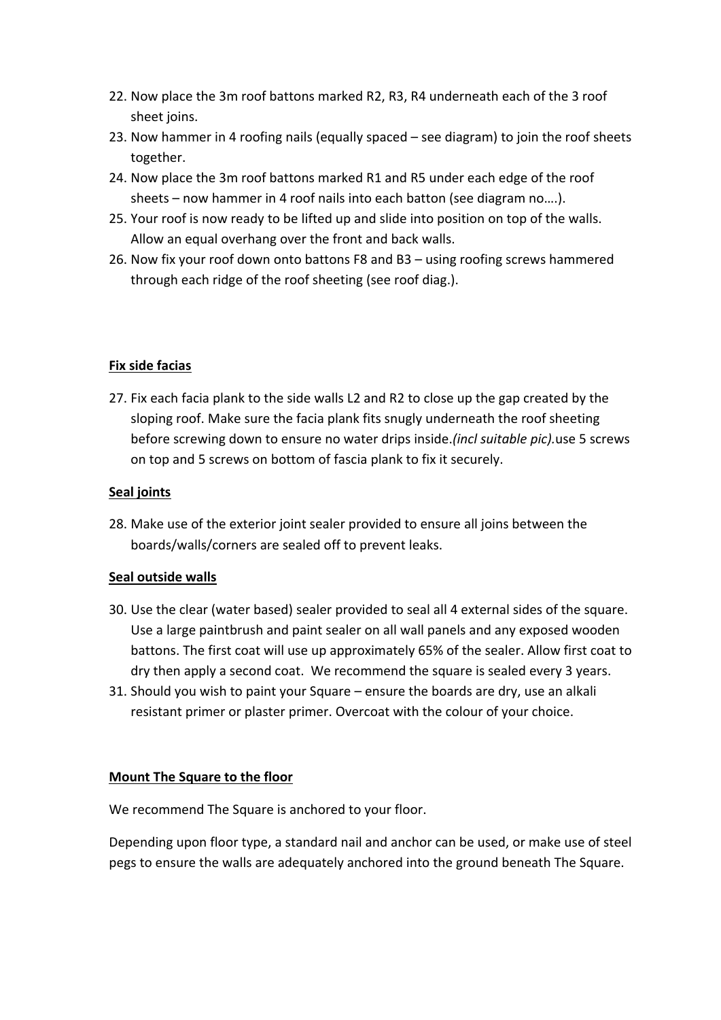- 22. Now place the 3m roof battons marked R2, R3, R4 underneath each of the 3 roof sheet joins.
- 23. Now hammer in 4 roofing nails (equally spaced see diagram) to join the roof sheets together.
- 24. Now place the 3m roof battons marked R1 and R5 under each edge of the roof sheets – now hammer in 4 roof nails into each batton (see diagram no….).
- 25. Your roof is now ready to be lifted up and slide into position on top of the walls. Allow an equal overhang over the front and back walls.
- 26. Now fix your roof down onto battons F8 and B3 using roofing screws hammered through each ridge of the roof sheeting (see roof diag.).

#### **Fix side facias**

27. Fix each facia plank to the side walls L2 and R2 to close up the gap created by the sloping roof. Make sure the facia plank fits snugly underneath the roof sheeting before screwing down to ensure no water drips inside.*(incl suitable pic).*use 5 screws on top and 5 screws on bottom of fascia plank to fix it securely.

#### **Seal joints**

28. Make use of the exterior joint sealer provided to ensure all joins between the boards/walls/corners are sealed off to prevent leaks.

#### **Seal outside walls**

- 30. Use the clear (water based) sealer provided to seal all 4 external sides of the square. Use a large paintbrush and paint sealer on all wall panels and any exposed wooden battons. The first coat will use up approximately 65% of the sealer. Allow first coat to dry then apply a second coat. We recommend the square is sealed every 3 years.
- 31. Should you wish to paint your Square ensure the boards are dry, use an alkali resistant primer or plaster primer. Overcoat with the colour of your choice.

#### **Mount The Square to the floor**

We recommend The Square is anchored to your floor.

Depending upon floor type, a standard nail and anchor can be used, or make use of steel pegs to ensure the walls are adequately anchored into the ground beneath The Square.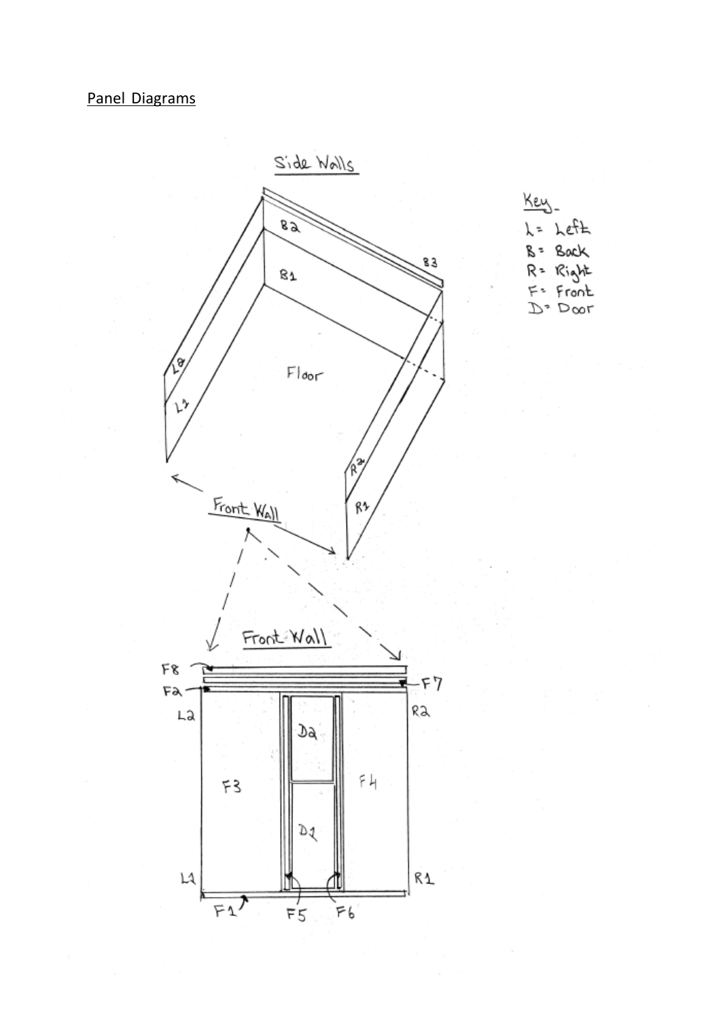

 $\lambda = \lambda e f E$  $R = \text{Back}$ <br> $R = \text{Right}$ <br> $F = \text{Front}$ <br> $D = \text{Door}$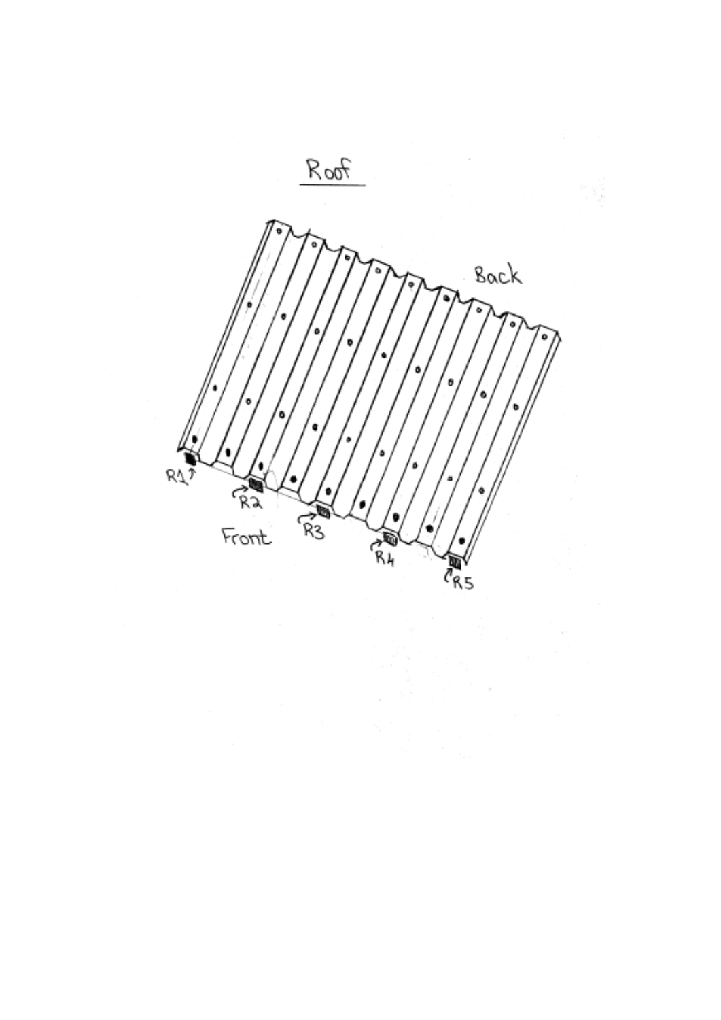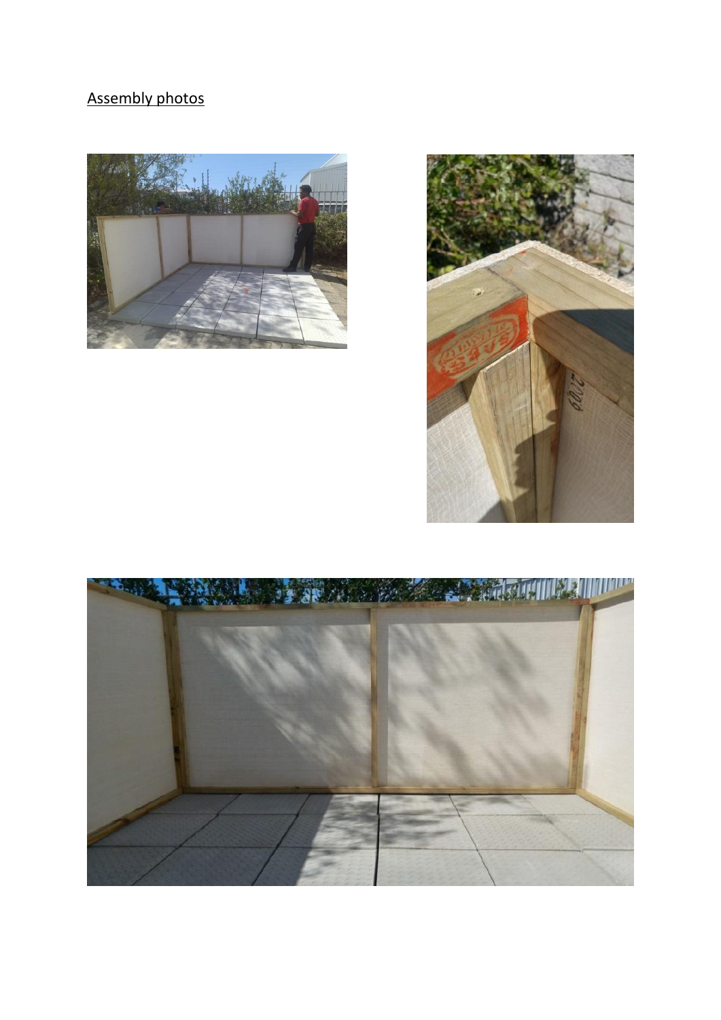## Assembly photos





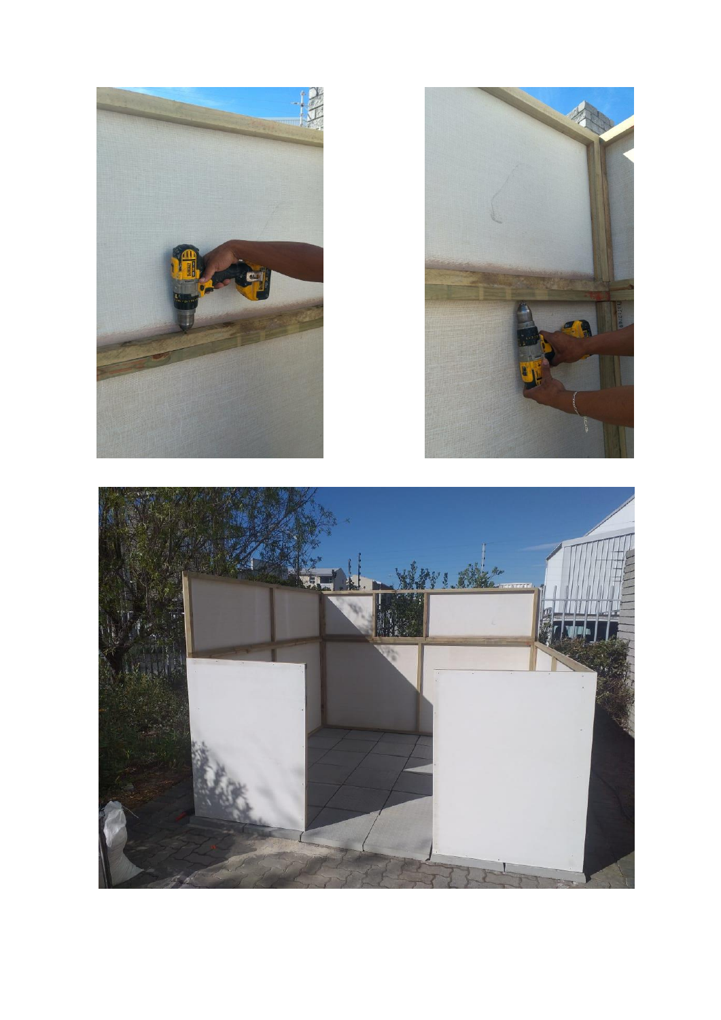